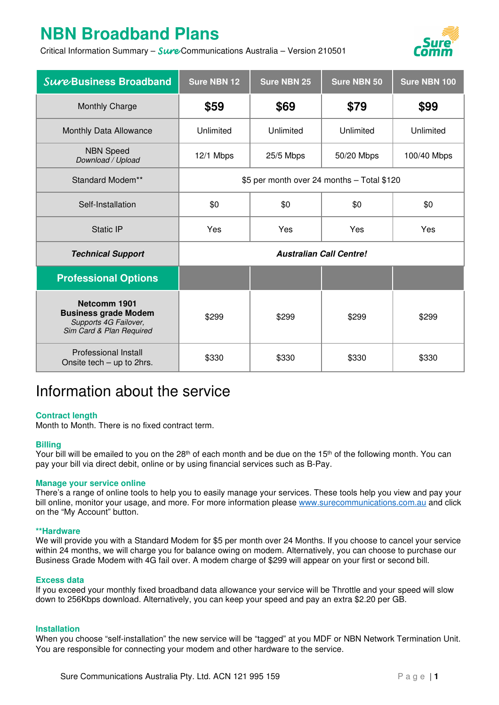# **NBN Broadband Plans**

Critical Information Summary - Sure Communications Australia - Version 210501



| Sure Business Broadband                                                                          | <b>Sure NBN 12</b>                         | <b>Sure NBN 25</b> | <b>Sure NBN 50</b> | Sure NBN 100 |
|--------------------------------------------------------------------------------------------------|--------------------------------------------|--------------------|--------------------|--------------|
| Monthly Charge                                                                                   | \$59                                       | \$69               | \$79               | \$99         |
| Monthly Data Allowance                                                                           | Unlimited                                  | Unlimited          | Unlimited          | Unlimited    |
| <b>NBN Speed</b><br>Download / Upload                                                            | 12/1 Mbps                                  | 25/5 Mbps          | 50/20 Mbps         | 100/40 Mbps  |
| Standard Modem**                                                                                 | \$5 per month over 24 months - Total \$120 |                    |                    |              |
| Self-Installation                                                                                | \$0                                        | \$0                | \$0                | \$0          |
| <b>Static IP</b>                                                                                 | Yes                                        | Yes                | Yes                | Yes          |
| <b>Technical Support</b>                                                                         | <b>Australian Call Centre!</b>             |                    |                    |              |
| <b>Professional Options</b>                                                                      |                                            |                    |                    |              |
| Netcomm 1901<br><b>Business grade Modem</b><br>Supports 4G Failover,<br>Sim Card & Plan Required | \$299                                      | \$299              | \$299              | \$299        |
| <b>Professional Install</b><br>Onsite tech - up to 2hrs.                                         | \$330                                      | \$330              | \$330              | \$330        |

# Information about the service

# **Contract length**

Month to Month. There is no fixed contract term.

# **Billing**

Your bill will be emailed to you on the 28<sup>th</sup> of each month and be due on the 15<sup>th</sup> of the following month. You can pay your bill via direct debit, online or by using financial services such as B-Pay.

# **Manage your service online**

There's a range of online tools to help you to easily manage your services. These tools help you view and pay your bill online, monitor your usage, and more. For more information please www.surecommunications.com.au and click on the "My Account" button.

#### **\*\*Hardware**

We will provide you with a Standard Modem for \$5 per month over 24 Months. If you choose to cancel your service within 24 months, we will charge you for balance owing on modem. Alternatively, you can choose to purchase our Business Grade Modem with 4G fail over. A modem charge of \$299 will appear on your first or second bill.

#### **Excess data**

If you exceed your monthly fixed broadband data allowance your service will be Throttle and your speed will slow down to 256Kbps download. Alternatively, you can keep your speed and pay an extra \$2.20 per GB.

#### **Installation**

When you choose "self-installation" the new service will be "tagged" at you MDF or NBN Network Termination Unit. You are responsible for connecting your modem and other hardware to the service.